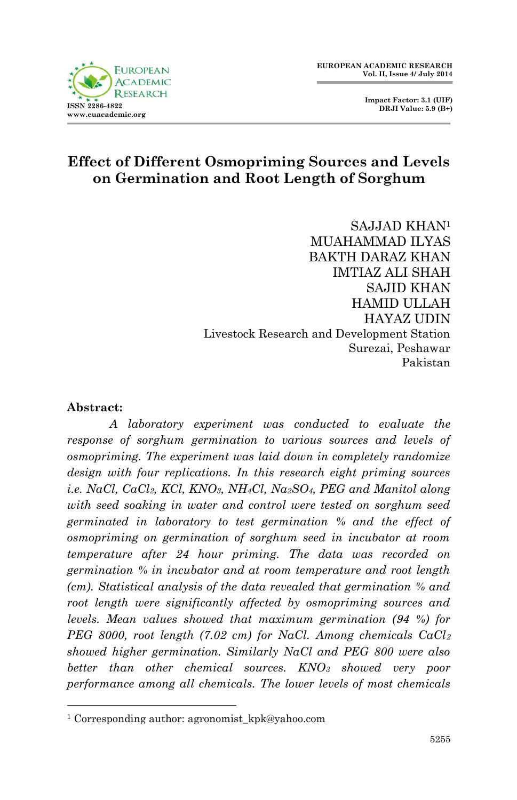

 **Impact Factor: 3.1 (UIF) DRJI Value: 5.9 (B+)**

# **Effect of Different Osmopriming Sources and Levels on Germination and Root Length of Sorghum**

SAJJAD KHAN<sup>1</sup> MUAHAMMAD ILYAS BAKTH DARAZ KHAN IMTIAZ ALI SHAH SAJID KHAN HAMID ULLAH HAYAZ UDIN Livestock Research and Development Station Surezai, Peshawar Pakistan

#### **Abstract:**

1

*A laboratory experiment was conducted to evaluate the response of sorghum germination to various sources and levels of osmopriming. The experiment was laid down in completely randomize design with four replications. In this research eight priming sources i.e. NaCl, CaCl2, KCl, KNO3, NH4Cl, Na2SO4, PEG and Manitol along with seed soaking in water and control were tested on sorghum seed germinated in laboratory to test germination % and the effect of osmopriming on germination of sorghum seed in incubator at room temperature after 24 hour priming. The data was recorded on germination % in incubator and at room temperature and root length (cm). Statistical analysis of the data revealed that germination % and root length were significantly affected by osmopriming sources and levels. Mean values showed that maximum germination (94 %) for PEG 8000, root length (7.02 cm) for NaCl. Among chemicals CaCl<sup>2</sup> showed higher germination. Similarly NaCl and PEG 800 were also better than other chemical sources. KNO<sup>3</sup> showed very poor performance among all chemicals. The lower levels of most chemicals* 

<sup>&</sup>lt;sup>1</sup> Corresponding author: agronomist\_kpk@yahoo.com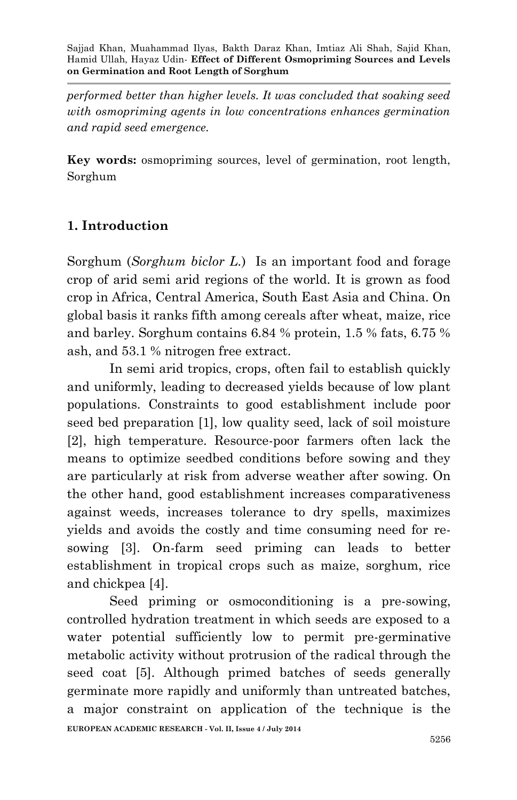*performed better than higher levels. It was concluded that soaking seed with osmopriming agents in low concentrations enhances germination and rapid seed emergence.*

**Key words:** osmopriming sources, level of germination, root length, Sorghum

## **1. Introduction**

Sorghum (*Sorghum biclor L.*) Is an important food and forage crop of arid semi arid regions of the world. It is grown as food crop in Africa, Central America, South East Asia and China. On global basis it ranks fifth among cereals after wheat, maize, rice and barley. Sorghum contains 6.84 % protein, 1.5 % fats, 6.75 % ash, and 53.1 % nitrogen free extract.

In semi arid tropics, crops, often fail to establish quickly and uniformly, leading to decreased yields because of low plant populations. Constraints to good establishment include poor seed bed preparation [1], low quality seed, lack of soil moisture [2], high temperature. Resource-poor farmers often lack the means to optimize seedbed conditions before sowing and they are particularly at risk from adverse weather after sowing. On the other hand, good establishment increases comparativeness against weeds, increases tolerance to dry spells, maximizes yields and avoids the costly and time consuming need for resowing [3]. On-farm seed priming can leads to better establishment in tropical crops such as maize, sorghum, rice and chickpea [4].

**EUROPEAN ACADEMIC RESEARCH - Vol. II, Issue 4 / July 2014** Seed priming or osmoconditioning is a pre-sowing, controlled hydration treatment in which seeds are exposed to a water potential sufficiently low to permit pre-germinative metabolic activity without protrusion of the radical through the seed coat [5]. Although primed batches of seeds generally germinate more rapidly and uniformly than untreated batches, a major constraint on application of the technique is the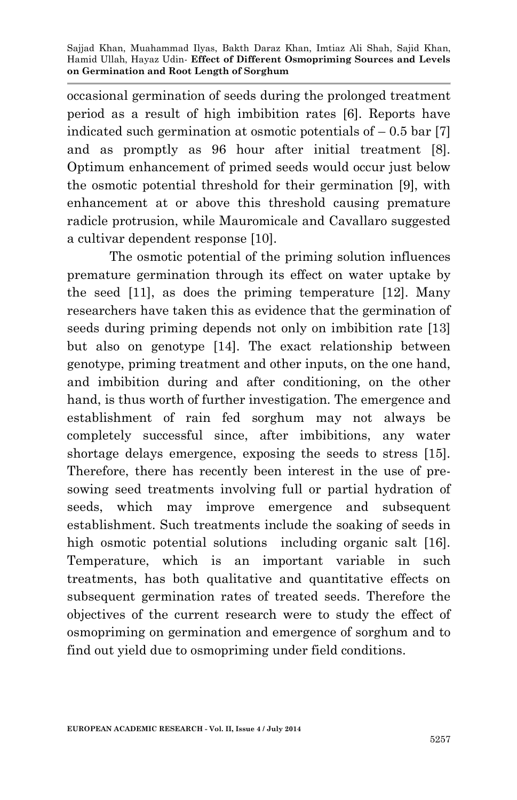occasional germination of seeds during the prolonged treatment period as a result of high imbibition rates [6]. Reports have indicated such germination at osmotic potentials of  $-0.5$  bar [7] and as promptly as 96 hour after initial treatment [8]. Optimum enhancement of primed seeds would occur just below the osmotic potential threshold for their germination [9], with enhancement at or above this threshold causing premature radicle protrusion, while Mauromicale and Cavallaro suggested a cultivar dependent response [10].

The osmotic potential of the priming solution influences premature germination through its effect on water uptake by the seed [11], as does the priming temperature [12]. Many researchers have taken this as evidence that the germination of seeds during priming depends not only on imbibition rate [13] but also on genotype [14]. The exact relationship between genotype, priming treatment and other inputs, on the one hand, and imbibition during and after conditioning, on the other hand, is thus worth of further investigation. The emergence and establishment of rain fed sorghum may not always be completely successful since, after imbibitions, any water shortage delays emergence, exposing the seeds to stress [15]. Therefore, there has recently been interest in the use of presowing seed treatments involving full or partial hydration of seeds, which may improve emergence and subsequent establishment. Such treatments include the soaking of seeds in high osmotic potential solutions including organic salt [16]. Temperature, which is an important variable in such treatments, has both qualitative and quantitative effects on subsequent germination rates of treated seeds. Therefore the objectives of the current research were to study the effect of osmopriming on germination and emergence of sorghum and to find out yield due to osmopriming under field conditions.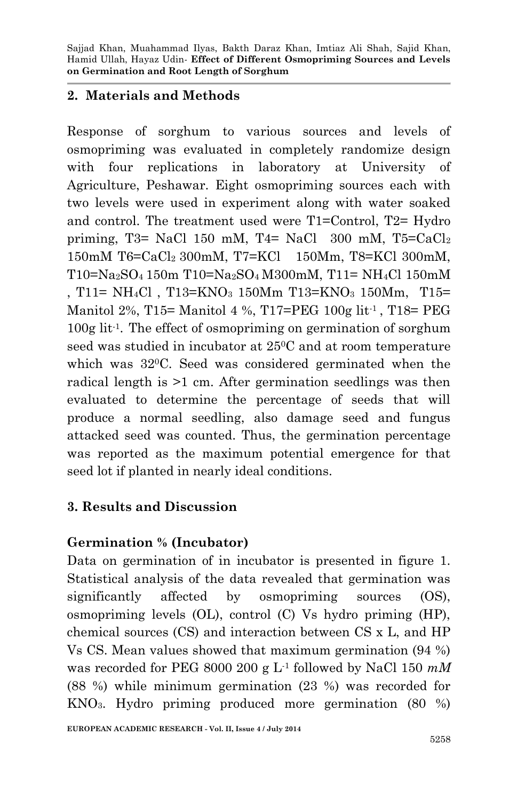### **2. Materials and Methods**

Response of sorghum to various sources and levels of osmopriming was evaluated in completely randomize design with four replications in laboratory at University of Agriculture, Peshawar. Eight osmopriming sources each with two levels were used in experiment along with water soaked and control. The treatment used were T1=Control, T2= Hydro priming, T3= NaCl 150 mM, T4= NaCl 300 mM, T5= $CaCl<sub>2</sub>$ 150mM T6=CaCl2 300mM, T7=KCl 150Mm, T8=KCl 300mM, T10=Na2SO4 150m T10=Na2SO4 M300mM, T11= NH4Cl 150mM , T11=  $NH_4Cl$ , T13= $KNO_3$  150Mm T13= $KNO_3$  150Mm, T15= Manitol 2%, T15= Manitol 4 %, T17=PEG 100g lit-1 , T18= PEG 100g lit-1 . The effect of osmopriming on germination of sorghum seed was studied in incubator at 250C and at room temperature which was 320C. Seed was considered germinated when the radical length is >1 cm. After germination seedlings was then evaluated to determine the percentage of seeds that will produce a normal seedling, also damage seed and fungus attacked seed was counted. Thus, the germination percentage was reported as the maximum potential emergence for that seed lot if planted in nearly ideal conditions.

## **3. Results and Discussion**

### **Germination % (Incubator)**

Data on germination of in incubator is presented in figure 1. Statistical analysis of the data revealed that germination was significantly affected by osmopriming sources (OS), osmopriming levels (OL), control (C) Vs hydro priming (HP), chemical sources (CS) and interaction between CS x L, and HP Vs CS. Mean values showed that maximum germination (94 %) was recorded for PEG 8000 200 g L-1 followed by NaCl 150 *mM* (88 %) while minimum germination (23 %) was recorded for KNO3. Hydro priming produced more germination (80 %)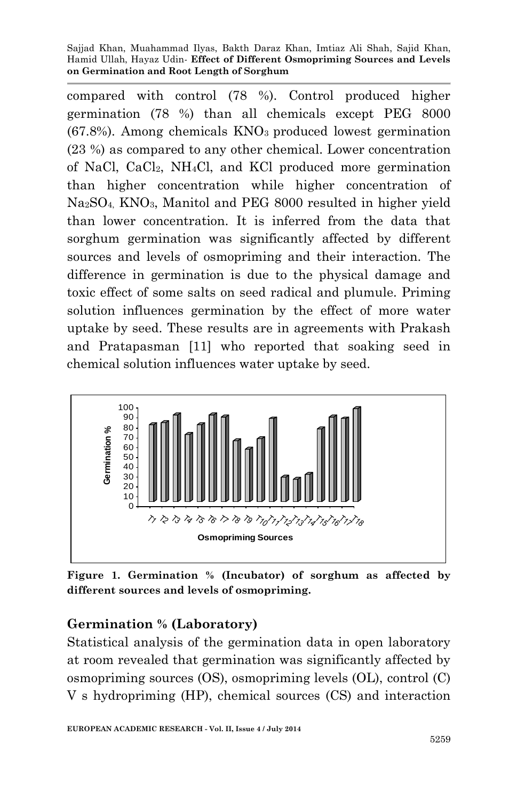Sajjad Khan, Muahammad Ilyas, Bakth Daraz Khan, Imtiaz Ali Shah, Sajid Khan, Hamid Ullah, Hayaz Udin*-* **Effect of Different Osmopriming Sources and Levels on Germination and Root Length of Sorghum**

compared with control (78 %). Control produced higher germination (78 %) than all chemicals except PEG 8000  $(67.8%)$ . Among chemicals  $KNO<sub>3</sub>$  produced lowest germination (23 %) as compared to any other chemical. Lower concentration of NaCl, CaCl2, NH4Cl, and KCl produced more germination than higher concentration while higher concentration of Na2SO4, KNO3, Manitol and PEG 8000 resulted in higher yield than lower concentration. It is inferred from the data that sorghum germination was significantly affected by different sources and levels of osmopriming and their interaction. The difference in germination is due to the physical damage and toxic effect of some salts on seed radical and plumule. Priming solution influences germination by the effect of more water uptake by seed. These results are in agreements with Prakash and Pratapasman [11] who reported that soaking seed in chemical solution influences water uptake by seed.



**Figure 1. Germination % (Incubator) of sorghum as affected by different sources and levels of osmopriming.**

### **Germination % (Laboratory)**

Statistical analysis of the germination data in open laboratory at room revealed that germination was significantly affected by osmopriming sources (OS), osmopriming levels (OL), control (C) V s hydropriming (HP), chemical sources (CS) and interaction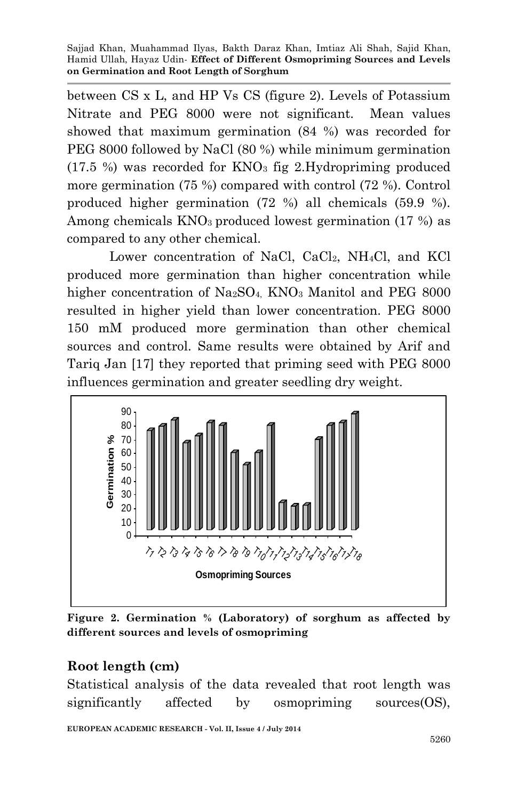Sajjad Khan, Muahammad Ilyas, Bakth Daraz Khan, Imtiaz Ali Shah, Sajid Khan, Hamid Ullah, Hayaz Udin*-* **Effect of Different Osmopriming Sources and Levels on Germination and Root Length of Sorghum**

between CS x L, and HP Vs CS (figure 2). Levels of Potassium Nitrate and PEG 8000 were not significant. Mean values showed that maximum germination (84 %) was recorded for PEG 8000 followed by NaCl (80 %) while minimum germination  $(17.5 \%)$  was recorded for  $KNO<sub>3</sub>$  fig 2.Hydropriming produced more germination (75 %) compared with control (72 %). Control produced higher germination (72 %) all chemicals (59.9 %). Among chemicals KNO<sub>3</sub> produced lowest germination (17 %) as compared to any other chemical.

Lower concentration of NaCl,  $CaCl<sub>2</sub>$ , NH<sub>4</sub>Cl, and KCl produced more germination than higher concentration while higher concentration of  $Na<sub>2</sub>SO<sub>4</sub>$  KNO<sub>3</sub> Manitol and PEG 8000 resulted in higher yield than lower concentration. PEG 8000 150 mM produced more germination than other chemical sources and control. Same results were obtained by Arif and Tariq Jan [17] they reported that priming seed with PEG 8000



**Figure 2. Germination % (Laboratory) of sorghum as affected by different sources and levels of osmopriming**

## **Root length (cm)**

Statistical analysis of the data revealed that root length was significantly affected by osmopriming sources(OS),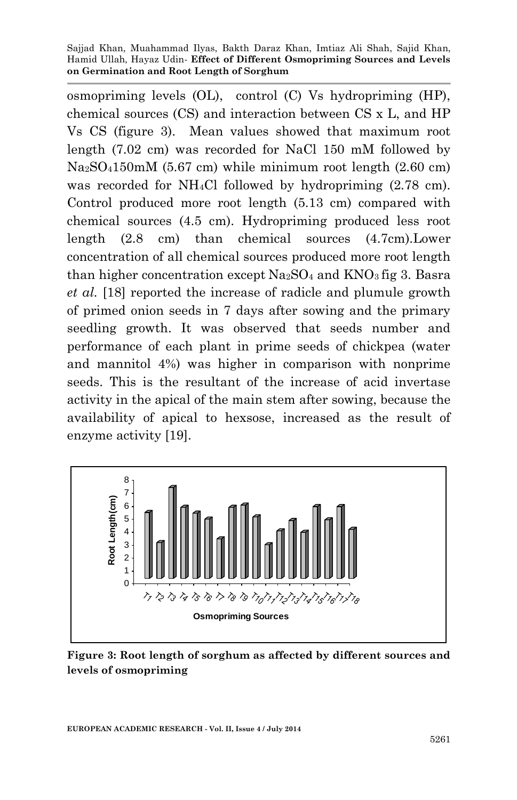osmopriming levels (OL), control (C) Vs hydropriming (HP), chemical sources (CS) and interaction between CS x L, and HP Vs CS (figure 3). Mean values showed that maximum root length (7.02 cm) was recorded for NaCl 150 mM followed by  $Na<sub>2</sub>SO<sub>4</sub>150mM$  (5.67 cm) while minimum root length (2.60 cm) was recorded for NH4Cl followed by hydropriming (2.78 cm). Control produced more root length (5.13 cm) compared with chemical sources (4.5 cm). Hydropriming produced less root length (2.8 cm) than chemical sources (4.7cm).Lower concentration of all chemical sources produced more root length than higher concentration except  $Na<sub>2</sub>SO<sub>4</sub>$  and  $KNO<sub>3</sub>$  fig 3. Basra *et al.* [18] reported the increase of radicle and plumule growth of primed onion seeds in 7 days after sowing and the primary seedling growth. It was observed that seeds number and performance of each plant in prime seeds of chickpea (water and mannitol 4%) was higher in comparison with nonprime seeds. This is the resultant of the increase of acid invertase activity in the apical of the main stem after sowing, because the availability of apical to hexsose, increased as the result of enzyme activity [19].



**Figure 3: Root length of sorghum as affected by different sources and levels of osmopriming**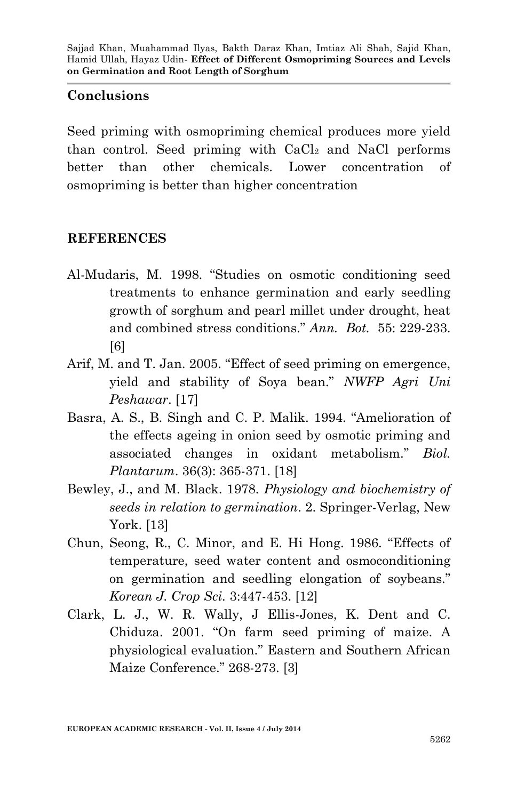#### **Conclusions**

Seed priming with osmopriming chemical produces more yield than control. Seed priming with CaCl<sup>2</sup> and NaCl performs better than other chemicals. Lower concentration of osmopriming is better than higher concentration

#### **REFERENCES**

- Al-Mudaris, M. 1998. "Studies on osmotic conditioning seed treatments to enhance germination and early seedling growth of sorghum and pearl millet under drought, heat and combined stress conditions." *Ann. Bot.* 55: 229-233. [6]
- Arif, M. and T. Jan. 2005. "Effect of seed priming on emergence, yield and stability of Soya bean." *NWFP Agri Uni Peshawar*. [17]
- Basra, A. S., B. Singh and C. P. Malik. 1994. "Amelioration of the effects ageing in onion seed by osmotic priming and associated changes in oxidant metabolism." *Biol. Plantarum*. 36(3): 365-371. [18]
- Bewley, J., and M. Black. 1978. *Physiology and biochemistry of seeds in relation to germination*. 2. Springer-Verlag, New York. [13]
- Chun, Seong, R., C. Minor, and E. Hi Hong. 1986. "Effects of temperature, seed water content and osmoconditioning on germination and seedling elongation of soybeans." *Korean J. Crop Sci.* 3:447-453. [12]
- Clark, L. J., W. R. Wally, J Ellis-Jones, K. Dent and C. Chiduza. 2001. "On farm seed priming of maize. A physiological evaluation." Eastern and Southern African Maize Conference." 268-273. [3]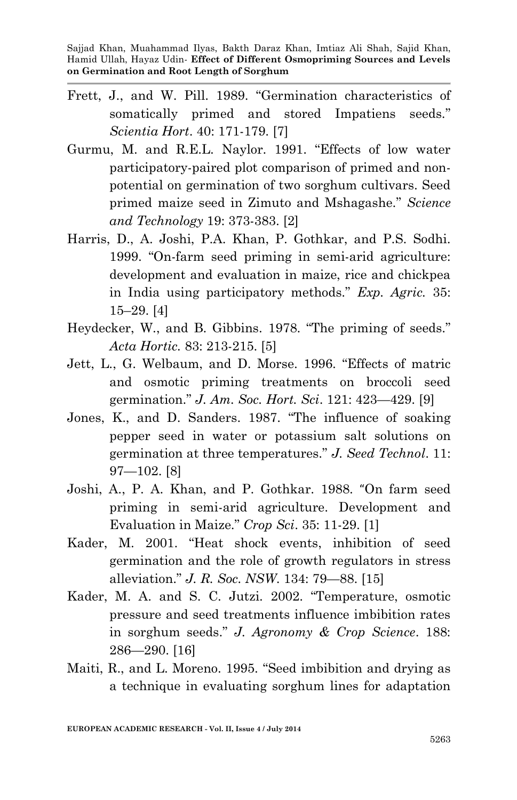- Frett, J., and W. Pill. 1989. "Germination characteristics of somatically primed and stored Impatiens seeds." *Scientia Hort*. 40: 171-179. [7]
- Gurmu, M. and R.E.L. Naylor. 1991. "Effects of low water participatory-paired plot comparison of primed and nonpotential on germination of two sorghum cultivars. Seed primed maize seed in Zimuto and Mshagashe." *Science and Technology* 19: 373-383. [2]
- Harris, D., A. Joshi, P.A. Khan, P. Gothkar, and P.S. Sodhi. 1999. "On-farm seed priming in semi-arid agriculture: development and evaluation in maize, rice and chickpea in India using participatory methods." *Exp. Agric.* 35: 15–29. [4]
- Heydecker, W., and B. Gibbins. 1978. "The priming of seeds." *Acta Hortic.* 83: 213-215. [5]
- Jett, L., G. Welbaum, and D. Morse. 1996. "Effects of matric and osmotic priming treatments on broccoli seed germination." *J. Am. Soc. Hort. Sci*. 121: 423—429. [9]
- Jones, K., and D. Sanders. 1987. "The influence of soaking pepper seed in water or potassium salt solutions on germination at three temperatures." *J. Seed Technol*. 11: 97—102. [8]
- Joshi, A., P. A. Khan, and P. Gothkar. 1988. "On farm seed priming in semi-arid agriculture. Development and Evaluation in Maize." *Crop Sci*. 35: 11-29. [1]
- Kader, M. 2001. "Heat shock events, inhibition of seed germination and the role of growth regulators in stress alleviation." *J. R. Soc. NSW*. 134: 79—88. [15]
- Kader, M. A. and S. C. Jutzi. 2002. "Temperature, osmotic pressure and seed treatments influence imbibition rates in sorghum seeds." *J. Agronomy & Crop Science*. 188: 286—290. [16]
- Maiti, R., and L. Moreno. 1995. "Seed imbibition and drying as a technique in evaluating sorghum lines for adaptation